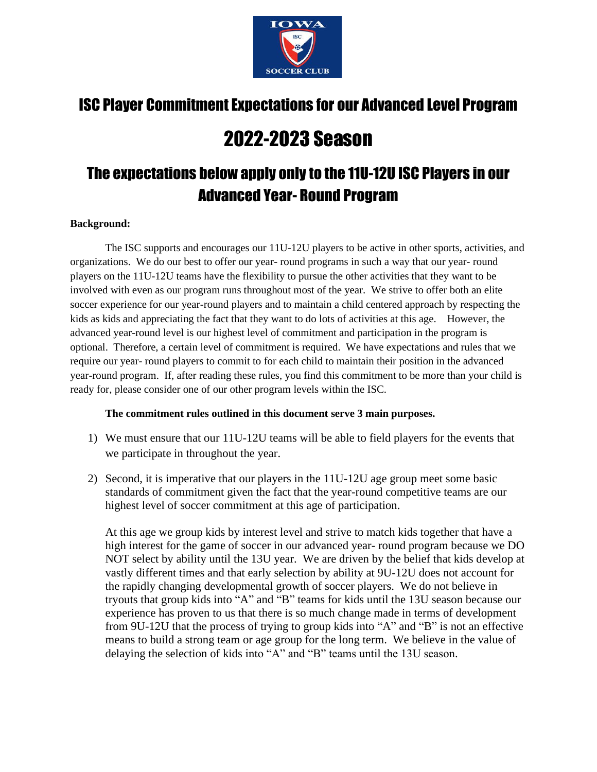

# ISC Player Commitment Expectations for our Advanced Level Program

# 2022-2023 Season

# The expectations below apply only to the 11U-12U ISC Players in our Advanced Year- Round Program

### **Background:**

The ISC supports and encourages our 11U-12U players to be active in other sports, activities, and organizations. We do our best to offer our year- round programs in such a way that our year- round players on the 11U-12U teams have the flexibility to pursue the other activities that they want to be involved with even as our program runs throughout most of the year. We strive to offer both an elite soccer experience for our year-round players and to maintain a child centered approach by respecting the kids as kids and appreciating the fact that they want to do lots of activities at this age. However, the advanced year-round level is our highest level of commitment and participation in the program is optional. Therefore, a certain level of commitment is required. We have expectations and rules that we require our year- round players to commit to for each child to maintain their position in the advanced year-round program. If, after reading these rules, you find this commitment to be more than your child is ready for, please consider one of our other program levels within the ISC.

## **The commitment rules outlined in this document serve 3 main purposes.**

- 1) We must ensure that our 11U-12U teams will be able to field players for the events that we participate in throughout the year.
- 2) Second, it is imperative that our players in the 11U-12U age group meet some basic standards of commitment given the fact that the year-round competitive teams are our highest level of soccer commitment at this age of participation.

At this age we group kids by interest level and strive to match kids together that have a high interest for the game of soccer in our advanced year- round program because we DO NOT select by ability until the 13U year. We are driven by the belief that kids develop at vastly different times and that early selection by ability at 9U-12U does not account for the rapidly changing developmental growth of soccer players. We do not believe in tryouts that group kids into "A" and "B" teams for kids until the 13U season because our experience has proven to us that there is so much change made in terms of development from 9U-12U that the process of trying to group kids into "A" and "B" is not an effective means to build a strong team or age group for the long term. We believe in the value of delaying the selection of kids into "A" and "B" teams until the 13U season.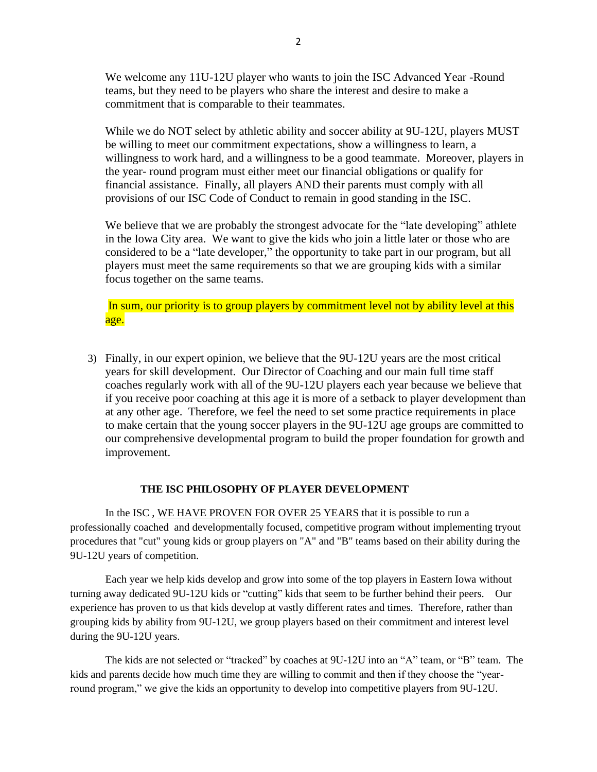We welcome any 11U-12U player who wants to join the ISC Advanced Year -Round teams, but they need to be players who share the interest and desire to make a commitment that is comparable to their teammates.

While we do NOT select by athletic ability and soccer ability at 9U-12U, players MUST be willing to meet our commitment expectations, show a willingness to learn, a willingness to work hard, and a willingness to be a good teammate. Moreover, players in the year- round program must either meet our financial obligations or qualify for financial assistance. Finally, all players AND their parents must comply with all provisions of our ISC Code of Conduct to remain in good standing in the ISC.

We believe that we are probably the strongest advocate for the "late developing" athlete in the Iowa City area. We want to give the kids who join a little later or those who are considered to be a "late developer," the opportunity to take part in our program, but all players must meet the same requirements so that we are grouping kids with a similar focus together on the same teams.

In sum, our priority is to group players by commitment level not by ability level at this age.

3) Finally, in our expert opinion, we believe that the 9U-12U years are the most critical years for skill development. Our Director of Coaching and our main full time staff coaches regularly work with all of the 9U-12U players each year because we believe that if you receive poor coaching at this age it is more of a setback to player development than at any other age. Therefore, we feel the need to set some practice requirements in place to make certain that the young soccer players in the 9U-12U age groups are committed to our comprehensive developmental program to build the proper foundation for growth and improvement.

#### **THE ISC PHILOSOPHY OF PLAYER DEVELOPMENT**

In the ISC , WE HAVE PROVEN FOR OVER 25 YEARS that it is possible to run a professionally coached and developmentally focused, competitive program without implementing tryout procedures that "cut" young kids or group players on "A" and "B" teams based on their ability during the 9U-12U years of competition.

Each year we help kids develop and grow into some of the top players in Eastern Iowa without turning away dedicated 9U-12U kids or "cutting" kids that seem to be further behind their peers. Our experience has proven to us that kids develop at vastly different rates and times. Therefore, rather than grouping kids by ability from 9U-12U, we group players based on their commitment and interest level during the 9U-12U years.

The kids are not selected or "tracked" by coaches at 9U-12U into an "A" team, or "B" team. The kids and parents decide how much time they are willing to commit and then if they choose the "yearround program," we give the kids an opportunity to develop into competitive players from 9U-12U.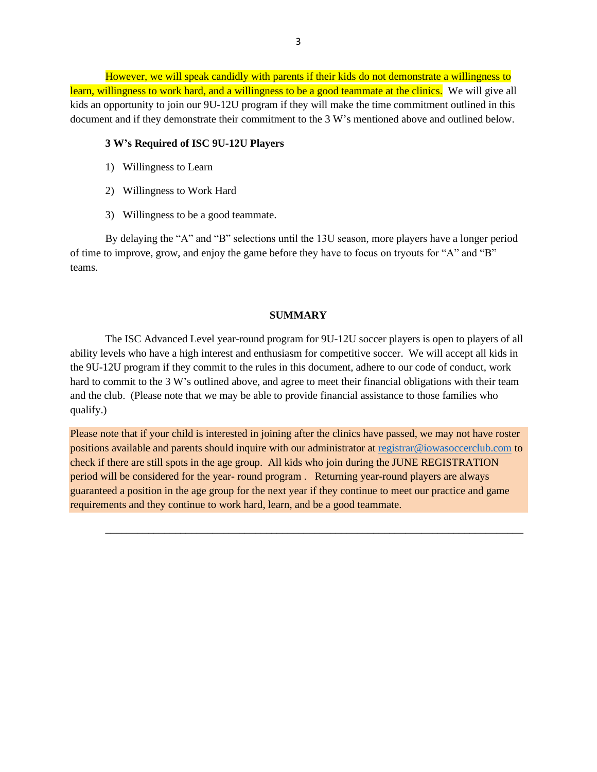However, we will speak candidly with parents if their kids do not demonstrate a willingness to learn, willingness to work hard, and a willingness to be a good teammate at the clinics. We will give all kids an opportunity to join our 9U-12U program if they will make the time commitment outlined in this document and if they demonstrate their commitment to the 3 W's mentioned above and outlined below.

#### **3 W's Required of ISC 9U-12U Players**

- 1) Willingness to Learn
- 2) Willingness to Work Hard
- 3) Willingness to be a good teammate.

By delaying the "A" and "B" selections until the 13U season, more players have a longer period of time to improve, grow, and enjoy the game before they have to focus on tryouts for "A" and "B" teams.

#### **SUMMARY**

The ISC Advanced Level year-round program for 9U-12U soccer players is open to players of all ability levels who have a high interest and enthusiasm for competitive soccer. We will accept all kids in the 9U-12U program if they commit to the rules in this document, adhere to our code of conduct, work hard to commit to the 3 W's outlined above, and agree to meet their financial obligations with their team and the club. (Please note that we may be able to provide financial assistance to those families who qualify.)

Please note that if your child is interested in joining after the clinics have passed, we may not have roster positions available and parents should inquire with our administrator at [registrar@iowasoccerclub.com](mailto:registrar@iowasoccerclub.com) to check if there are still spots in the age group. All kids who join during the JUNE REGISTRATION period will be considered for the year- round program . Returning year-round players are always guaranteed a position in the age group for the next year if they continue to meet our practice and game requirements and they continue to work hard, learn, and be a good teammate.

\_\_\_\_\_\_\_\_\_\_\_\_\_\_\_\_\_\_\_\_\_\_\_\_\_\_\_\_\_\_\_\_\_\_\_\_\_\_\_\_\_\_\_\_\_\_\_\_\_\_\_\_\_\_\_\_\_\_\_\_\_\_\_\_\_\_\_\_\_\_\_\_\_\_\_\_\_\_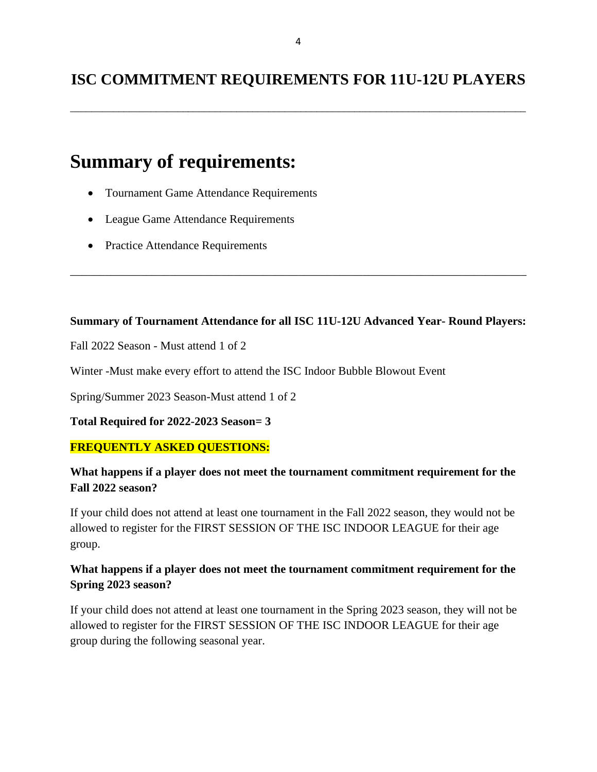\_\_\_\_\_\_\_\_\_\_\_\_\_\_\_\_\_\_\_\_\_\_\_\_\_\_\_\_\_\_\_\_\_\_\_\_\_\_\_\_\_\_\_\_\_\_\_\_\_\_\_\_\_\_\_\_\_\_\_\_\_\_\_\_\_\_\_\_\_\_\_\_\_\_\_\_\_\_\_\_\_\_\_\_\_

# **Summary of requirements:**

- Tournament Game Attendance Requirements
- League Game Attendance Requirements
- Practice Attendance Requirements

## **Summary of Tournament Attendance for all ISC 11U-12U Advanced Year- Round Players:**

\_\_\_\_\_\_\_\_\_\_\_\_\_\_\_\_\_\_\_\_\_\_\_\_\_\_\_\_\_\_\_\_\_\_\_\_\_\_\_\_\_\_\_\_\_\_\_\_\_\_\_\_\_\_\_\_\_\_\_\_\_\_\_\_\_\_\_\_\_\_\_\_\_\_\_\_\_\_

Fall 2022 Season - Must attend 1 of 2

Winter -Must make every effort to attend the ISC Indoor Bubble Blowout Event

Spring/Summer 2023 Season-Must attend 1 of 2

**Total Required for 2022-2023 Season= 3**

# **FREQUENTLY ASKED QUESTIONS:**

# **What happens if a player does not meet the tournament commitment requirement for the Fall 2022 season?**

If your child does not attend at least one tournament in the Fall 2022 season, they would not be allowed to register for the FIRST SESSION OF THE ISC INDOOR LEAGUE for their age group.

# **What happens if a player does not meet the tournament commitment requirement for the Spring 2023 season?**

If your child does not attend at least one tournament in the Spring 2023 season, they will not be allowed to register for the FIRST SESSION OF THE ISC INDOOR LEAGUE for their age group during the following seasonal year.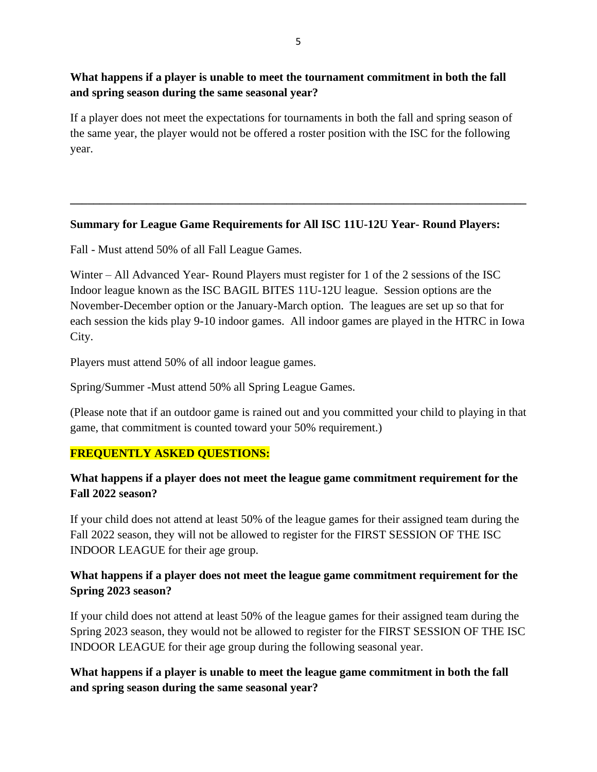## **What happens if a player is unable to meet the tournament commitment in both the fall and spring season during the same seasonal year?**

If a player does not meet the expectations for tournaments in both the fall and spring season of the same year, the player would not be offered a roster position with the ISC for the following year.

## **Summary for League Game Requirements for All ISC 11U-12U Year- Round Players:**

**\_\_\_\_\_\_\_\_\_\_\_\_\_\_\_\_\_\_\_\_\_\_\_\_\_\_\_\_\_\_\_\_\_\_\_\_\_\_\_\_\_\_\_\_\_\_\_\_\_\_\_\_\_\_\_\_\_\_\_\_\_\_\_\_\_\_\_\_\_\_\_\_\_\_\_\_\_\_**

Fall - Must attend 50% of all Fall League Games.

Winter – All Advanced Year- Round Players must register for 1 of the 2 sessions of the ISC Indoor league known as the ISC BAGIL BITES 11U-12U league. Session options are the November-December option or the January-March option. The leagues are set up so that for each session the kids play 9-10 indoor games. All indoor games are played in the HTRC in Iowa City.

Players must attend 50% of all indoor league games.

Spring/Summer -Must attend 50% all Spring League Games.

(Please note that if an outdoor game is rained out and you committed your child to playing in that game, that commitment is counted toward your 50% requirement.)

# **FREQUENTLY ASKED QUESTIONS:**

## **What happens if a player does not meet the league game commitment requirement for the Fall 2022 season?**

If your child does not attend at least 50% of the league games for their assigned team during the Fall 2022 season, they will not be allowed to register for the FIRST SESSION OF THE ISC INDOOR LEAGUE for their age group.

## **What happens if a player does not meet the league game commitment requirement for the Spring 2023 season?**

If your child does not attend at least 50% of the league games for their assigned team during the Spring 2023 season, they would not be allowed to register for the FIRST SESSION OF THE ISC INDOOR LEAGUE for their age group during the following seasonal year.

**What happens if a player is unable to meet the league game commitment in both the fall and spring season during the same seasonal year?**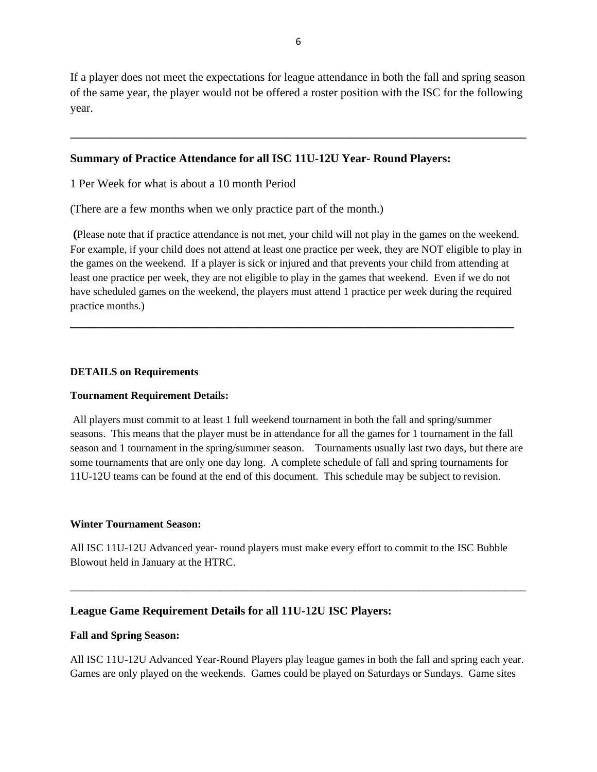If a player does not meet the expectations for league attendance in both the fall and spring season of the same year, the player would not be offered a roster position with the ISC for the following year.

**\_\_\_\_\_\_\_\_\_\_\_\_\_\_\_\_\_\_\_\_\_\_\_\_\_\_\_\_\_\_\_\_\_\_\_\_\_\_\_\_\_\_\_\_\_\_\_\_\_\_\_\_\_\_\_\_\_\_\_\_\_\_\_\_\_\_\_\_\_\_\_\_\_\_\_\_\_\_**

### **Summary of Practice Attendance for all ISC 11U-12U Year- Round Players:**

1 Per Week for what is about a 10 month Period

(There are a few months when we only practice part of the month.)

**(**Please note that if practice attendance is not met, your child will not play in the games on the weekend. For example, if your child does not attend at least one practice per week, they are NOT eligible to play in the games on the weekend. If a player is sick or injured and that prevents your child from attending at least one practice per week, they are not eligible to play in the games that weekend. Even if we do not have scheduled games on the weekend, the players must attend 1 practice per week during the required practice months.)

**\_\_\_\_\_\_\_\_\_\_\_\_\_\_\_\_\_\_\_\_\_\_\_\_\_\_\_\_\_\_\_\_\_\_\_\_\_\_\_\_\_\_\_\_\_\_\_\_\_\_\_\_\_\_\_\_\_\_\_\_\_\_\_\_\_**

#### **DETAILS on Requirements**

#### **Tournament Requirement Details:**

All players must commit to at least 1 full weekend tournament in both the fall and spring/summer seasons. This means that the player must be in attendance for all the games for 1 tournament in the fall season and 1 tournament in the spring/summer season. Tournaments usually last two days, but there are some tournaments that are only one day long. A complete schedule of fall and spring tournaments for 11U-12U teams can be found at the end of this document. This schedule may be subject to revision.

#### **Winter Tournament Season:**

All ISC 11U-12U Advanced year- round players must make every effort to commit to the ISC Bubble Blowout held in January at the HTRC.

\_\_\_\_\_\_\_\_\_\_\_\_\_\_\_\_\_\_\_\_\_\_\_\_\_\_\_\_\_\_\_\_\_\_\_\_\_\_\_\_\_\_\_\_\_\_\_\_\_\_\_\_\_\_\_\_\_\_\_\_\_\_\_\_\_\_\_\_\_\_\_\_\_\_\_\_\_\_\_\_\_\_\_\_\_

## **League Game Requirement Details for all 11U-12U ISC Players:**

#### **Fall and Spring Season:**

All ISC 11U-12U Advanced Year-Round Players play league games in both the fall and spring each year. Games are only played on the weekends. Games could be played on Saturdays or Sundays. Game sites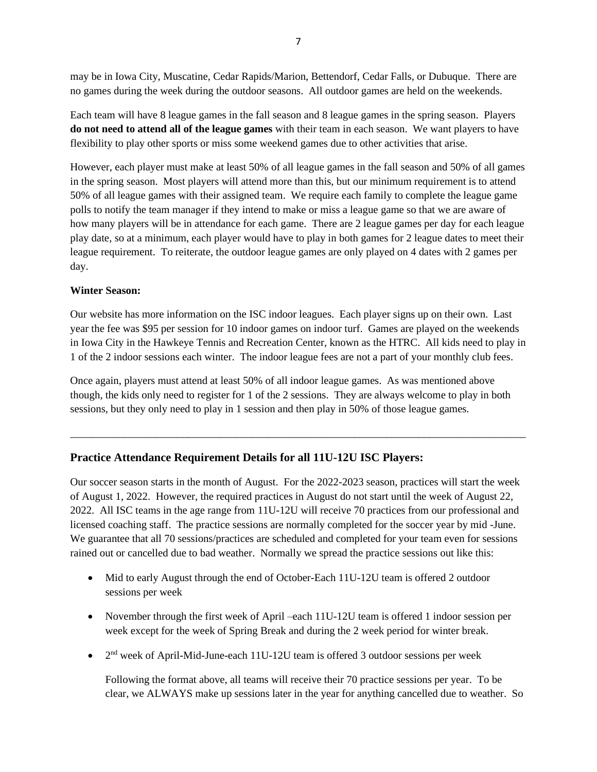may be in Iowa City, Muscatine, Cedar Rapids/Marion, Bettendorf, Cedar Falls, or Dubuque. There are no games during the week during the outdoor seasons. All outdoor games are held on the weekends.

Each team will have 8 league games in the fall season and 8 league games in the spring season. Players **do not need to attend all of the league games** with their team in each season. We want players to have flexibility to play other sports or miss some weekend games due to other activities that arise.

However, each player must make at least 50% of all league games in the fall season and 50% of all games in the spring season. Most players will attend more than this, but our minimum requirement is to attend 50% of all league games with their assigned team. We require each family to complete the league game polls to notify the team manager if they intend to make or miss a league game so that we are aware of how many players will be in attendance for each game. There are 2 league games per day for each league play date, so at a minimum, each player would have to play in both games for 2 league dates to meet their league requirement. To reiterate, the outdoor league games are only played on 4 dates with 2 games per day.

### **Winter Season:**

Our website has more information on the ISC indoor leagues. Each player signs up on their own. Last year the fee was \$95 per session for 10 indoor games on indoor turf. Games are played on the weekends in Iowa City in the Hawkeye Tennis and Recreation Center, known as the HTRC. All kids need to play in 1 of the 2 indoor sessions each winter. The indoor league fees are not a part of your monthly club fees.

Once again, players must attend at least 50% of all indoor league games. As was mentioned above though, the kids only need to register for 1 of the 2 sessions. They are always welcome to play in both sessions, but they only need to play in 1 session and then play in 50% of those league games.

\_\_\_\_\_\_\_\_\_\_\_\_\_\_\_\_\_\_\_\_\_\_\_\_\_\_\_\_\_\_\_\_\_\_\_\_\_\_\_\_\_\_\_\_\_\_\_\_\_\_\_\_\_\_\_\_\_\_\_\_\_\_\_\_\_\_\_\_\_\_\_\_\_\_\_\_\_\_\_\_\_\_\_\_\_

## **Practice Attendance Requirement Details for all 11U-12U ISC Players:**

Our soccer season starts in the month of August. For the 2022-2023 season, practices will start the week of August 1, 2022. However, the required practices in August do not start until the week of August 22, 2022. All ISC teams in the age range from 11U-12U will receive 70 practices from our professional and licensed coaching staff. The practice sessions are normally completed for the soccer year by mid -June. We guarantee that all 70 sessions/practices are scheduled and completed for your team even for sessions rained out or cancelled due to bad weather. Normally we spread the practice sessions out like this:

- Mid to early August through the end of October-Each 11U-12U team is offered 2 outdoor sessions per week
- November through the first week of April –each 11U-12U team is offered 1 indoor session per week except for the week of Spring Break and during the 2 week period for winter break.
- $\bullet$  2<sup>nd</sup> week of April-Mid-June-each 11U-12U team is offered 3 outdoor sessions per week

Following the format above, all teams will receive their 70 practice sessions per year. To be clear, we ALWAYS make up sessions later in the year for anything cancelled due to weather. So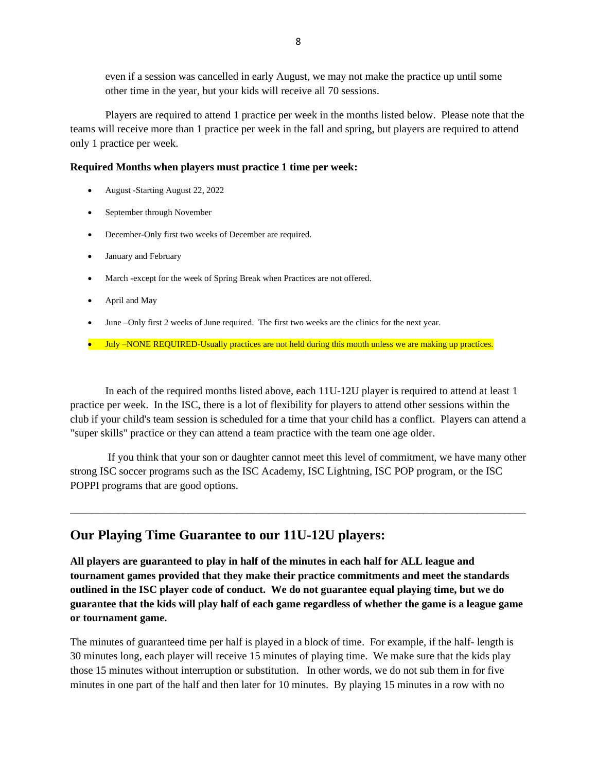even if a session was cancelled in early August, we may not make the practice up until some other time in the year, but your kids will receive all 70 sessions.

Players are required to attend 1 practice per week in the months listed below. Please note that the teams will receive more than 1 practice per week in the fall and spring, but players are required to attend only 1 practice per week.

#### **Required Months when players must practice 1 time per week:**

- August -Starting August 22, 2022
- September through November
- December-Only first two weeks of December are required.
- January and February
- March -except for the week of Spring Break when Practices are not offered.
- April and May
- June –Only first 2 weeks of June required. The first two weeks are the clinics for the next year.
- July –NONE REQUIRED-Usually practices are not held during this month unless we are making up practices.

In each of the required months listed above, each 11U-12U player is required to attend at least 1 practice per week. In the ISC, there is a lot of flexibility for players to attend other sessions within the club if your child's team session is scheduled for a time that your child has a conflict. Players can attend a "super skills" practice or they can attend a team practice with the team one age older.

If you think that your son or daughter cannot meet this level of commitment, we have many other strong ISC soccer programs such as the ISC Academy, ISC Lightning, ISC POP program, or the ISC POPPI programs that are good options.

\_\_\_\_\_\_\_\_\_\_\_\_\_\_\_\_\_\_\_\_\_\_\_\_\_\_\_\_\_\_\_\_\_\_\_\_\_\_\_\_\_\_\_\_\_\_\_\_\_\_\_\_\_\_\_\_\_\_\_\_\_\_\_\_\_\_\_\_\_\_\_\_\_\_\_\_\_\_\_\_\_\_\_\_\_

# **Our Playing Time Guarantee to our 11U-12U players:**

**All players are guaranteed to play in half of the minutes in each half for ALL league and tournament games provided that they make their practice commitments and meet the standards outlined in the ISC player code of conduct. We do not guarantee equal playing time, but we do guarantee that the kids will play half of each game regardless of whether the game is a league game or tournament game.** 

The minutes of guaranteed time per half is played in a block of time. For example, if the half- length is 30 minutes long, each player will receive 15 minutes of playing time. We make sure that the kids play those 15 minutes without interruption or substitution. In other words, we do not sub them in for five minutes in one part of the half and then later for 10 minutes. By playing 15 minutes in a row with no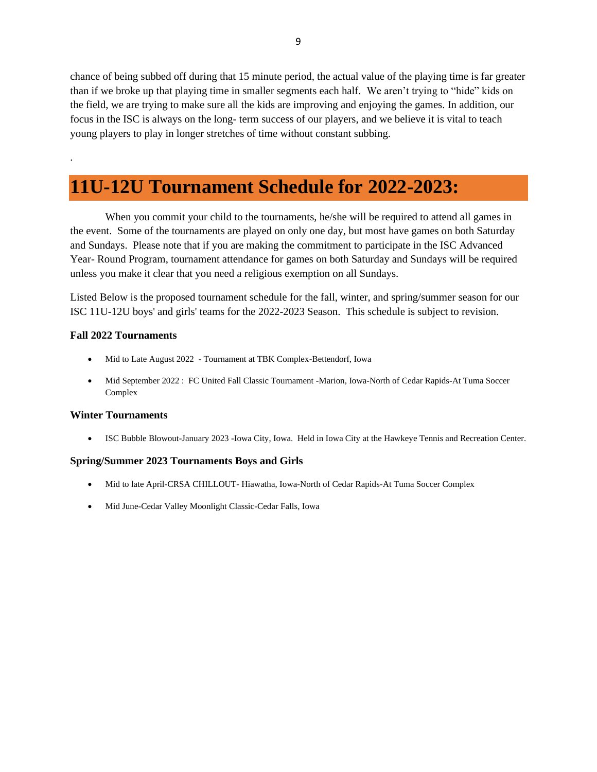chance of being subbed off during that 15 minute period, the actual value of the playing time is far greater than if we broke up that playing time in smaller segments each half. We aren't trying to "hide" kids on the field, we are trying to make sure all the kids are improving and enjoying the games. In addition, our focus in the ISC is always on the long- term success of our players, and we believe it is vital to teach young players to play in longer stretches of time without constant subbing.

# **11U-12U Tournament Schedule for 2022-2023:**

When you commit your child to the tournaments, he/she will be required to attend all games in the event. Some of the tournaments are played on only one day, but most have games on both Saturday and Sundays. Please note that if you are making the commitment to participate in the ISC Advanced Year- Round Program, tournament attendance for games on both Saturday and Sundays will be required unless you make it clear that you need a religious exemption on all Sundays.

Listed Below is the proposed tournament schedule for the fall, winter, and spring/summer season for our ISC 11U-12U boys' and girls' teams for the 2022-2023 Season. This schedule is subject to revision.

#### **Fall 2022 Tournaments**

.

- Mid to Late August 2022 Tournament at TBK Complex-Bettendorf, Iowa
- Mid September 2022 : FC United Fall Classic Tournament -Marion, Iowa-North of Cedar Rapids-At Tuma Soccer Complex

#### **Winter Tournaments**

• ISC Bubble Blowout-January 2023 -Iowa City, Iowa. Held in Iowa City at the Hawkeye Tennis and Recreation Center.

#### **Spring/Summer 2023 Tournaments Boys and Girls**

- Mid to late April-CRSA CHILLOUT-Hiawatha, Iowa-North of Cedar Rapids-At Tuma Soccer Complex
- Mid June-Cedar Valley Moonlight Classic-Cedar Falls, Iowa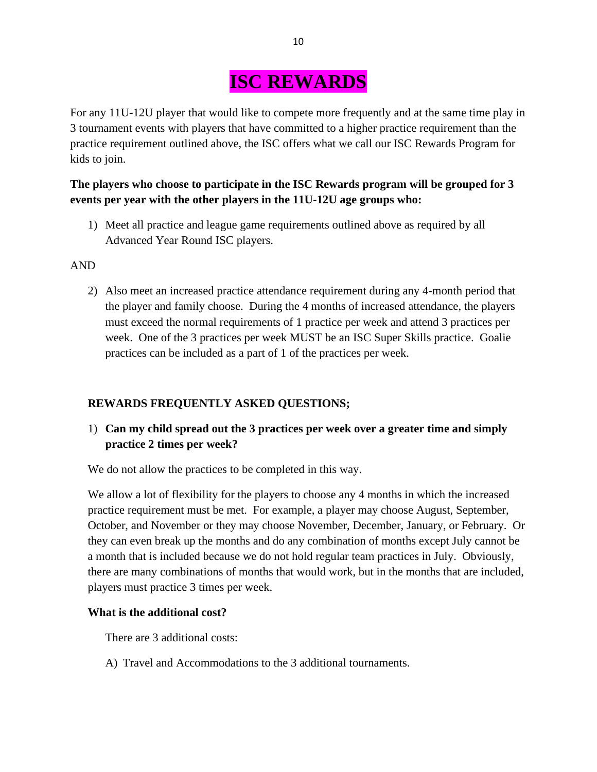# **ISC REWARDS**

For any 11U-12U player that would like to compete more frequently and at the same time play in 3 tournament events with players that have committed to a higher practice requirement than the practice requirement outlined above, the ISC offers what we call our ISC Rewards Program for kids to join.

# **The players who choose to participate in the ISC Rewards program will be grouped for 3 events per year with the other players in the 11U-12U age groups who:**

1) Meet all practice and league game requirements outlined above as required by all Advanced Year Round ISC players.

## AND

2) Also meet an increased practice attendance requirement during any 4-month period that the player and family choose. During the 4 months of increased attendance, the players must exceed the normal requirements of 1 practice per week and attend 3 practices per week. One of the 3 practices per week MUST be an ISC Super Skills practice. Goalie practices can be included as a part of 1 of the practices per week.

## **REWARDS FREQUENTLY ASKED QUESTIONS;**

1) **Can my child spread out the 3 practices per week over a greater time and simply practice 2 times per week?**

We do not allow the practices to be completed in this way.

We allow a lot of flexibility for the players to choose any 4 months in which the increased practice requirement must be met. For example, a player may choose August, September, October, and November or they may choose November, December, January, or February. Or they can even break up the months and do any combination of months except July cannot be a month that is included because we do not hold regular team practices in July. Obviously, there are many combinations of months that would work, but in the months that are included, players must practice 3 times per week.

## **What is the additional cost?**

There are 3 additional costs:

A) Travel and Accommodations to the 3 additional tournaments.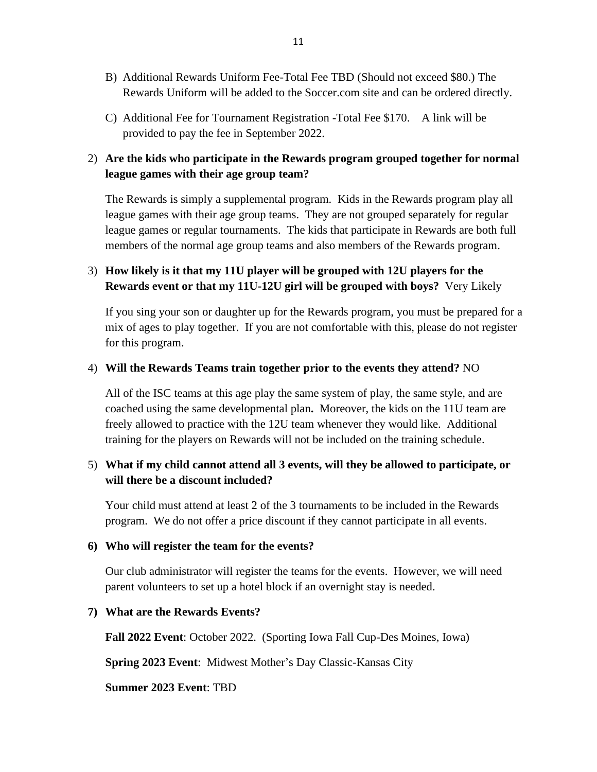- B) Additional Rewards Uniform Fee-Total Fee TBD (Should not exceed \$80.) The Rewards Uniform will be added to the Soccer.com site and can be ordered directly.
- C) Additional Fee for Tournament Registration -Total Fee \$170. A link will be provided to pay the fee in September 2022.

# 2) **Are the kids who participate in the Rewards program grouped together for normal league games with their age group team?**

The Rewards is simply a supplemental program. Kids in the Rewards program play all league games with their age group teams. They are not grouped separately for regular league games or regular tournaments. The kids that participate in Rewards are both full members of the normal age group teams and also members of the Rewards program.

# 3) **How likely is it that my 11U player will be grouped with 12U players for the Rewards event or that my 11U-12U girl will be grouped with boys?** Very Likely

If you sing your son or daughter up for the Rewards program, you must be prepared for a mix of ages to play together. If you are not comfortable with this, please do not register for this program.

## 4) **Will the Rewards Teams train together prior to the events they attend?** NO

All of the ISC teams at this age play the same system of play, the same style, and are coached using the same developmental plan**.** Moreover, the kids on the 11U team are freely allowed to practice with the 12U team whenever they would like. Additional training for the players on Rewards will not be included on the training schedule.

## 5) **What if my child cannot attend all 3 events, will they be allowed to participate, or will there be a discount included?**

Your child must attend at least 2 of the 3 tournaments to be included in the Rewards program. We do not offer a price discount if they cannot participate in all events.

## **6) Who will register the team for the events?**

Our club administrator will register the teams for the events. However, we will need parent volunteers to set up a hotel block if an overnight stay is needed.

## **7) What are the Rewards Events?**

**Fall 2022 Event**: October 2022. (Sporting Iowa Fall Cup-Des Moines, Iowa)

**Spring 2023 Event**: Midwest Mother's Day Classic-Kansas City

**Summer 2023 Event**: TBD